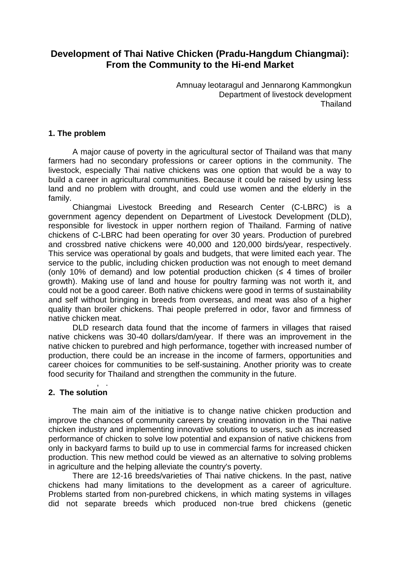# **Development of Thai Native Chicken (Pradu-Hangdum Chiangmai): From the Community to the Hi-end Market**

Amnuay leotaragul and Jennarong Kammongkun Department of livestock development Thailand

# **1. The problem**

A major cause of poverty in the agricultural sector of Thailand was that many farmers had no secondary professions or career options in the community. The livestock, especially Thai native chickens was one option that would be a way to build a career in agricultural communities. Because it could be raised by using less land and no problem with drought, and could use women and the elderly in the family.

Chiangmai Livestock Breeding and Research Center (C-LBRC) is a government agency dependent on Department of Livestock Development (DLD), responsible for livestock in upper northern region of Thailand. Farming of native chickens of C-LBRC had been operating for over 30 years. Production of purebred and crossbred native chickens were 40,000 and 120,000 birds/year, respectively. This service was operational by goals and budgets, that were limited each year. The service to the public, including chicken production was not enough to meet demand (only 10% of demand) and low potential production chicken  $($   $\leq$  4 times of broiler growth). Making use of land and house for poultry farming was not worth it, and could not be a good career. Both native chickens were good in terms of sustainability and self without bringing in breeds from overseas, and meat was also of a higher quality than broiler chickens. Thai people preferred in odor, favor and firmness of native chicken meat.

DLD research data found that the income of farmers in villages that raised native chickens was 30-40 dollars/dam/year. If there was an improvement in the native chicken to purebred and high performance, together with increased number of production, there could be an increase in the income of farmers, opportunities and career choices for communities to be self-sustaining. Another priority was to create food security for Thailand and strengthen the community in the future.

#### , . **2. The solution**

The main aim of the initiative is to change native chicken production and improve the chances of community careers by creating innovation in the Thai native chicken industry and implementing innovative solutions to users, such as increased performance of chicken to solve low potential and expansion of native chickens from only in backyard farms to build up to use in commercial farms for increased chicken production. This new method could be viewed as an alternative to solving problems in agriculture and the helping alleviate the country's poverty.

There are 12-16 breeds/varieties of Thai native chickens. In the past, native chickens had many limitations to the development as a career of agriculture. Problems started from non-purebred chickens, in which mating systems in villages did not separate breeds which produced non-true bred chickens (genetic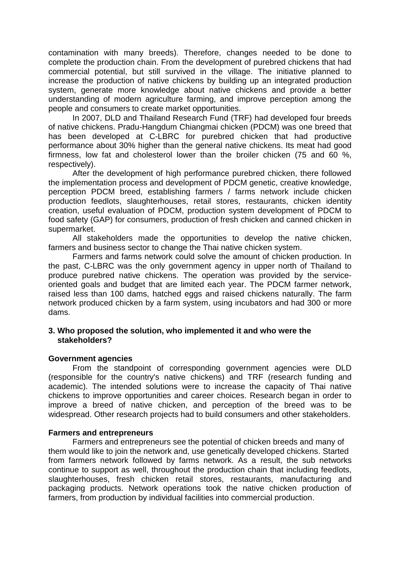contamination with many breeds). Therefore, changes needed to be done to complete the production chain. From the development of purebred chickens that had commercial potential, but still survived in the village. The initiative planned to increase the production of native chickens by building up an integrated production system, generate more knowledge about native chickens and provide a better understanding of modern agriculture farming, and improve perception among the people and consumers to create market opportunities.

In 2007, DLD and Thailand Research Fund (TRF) had developed four breeds of native chickens. Pradu-Hangdum Chiangmai chicken (PDCM) was one breed that has been developed at C-LBRC for purebred chicken that had productive performance about 30% higher than the general native chickens. Its meat had good firmness, low fat and cholesterol lower than the broiler chicken (75 and 60 %, respectively).

After the development of high performance purebred chicken, there followed the implementation process and development of PDCM genetic, creative knowledge, perception PDCM breed, establishing farmers / farms network include chicken production feedlots, slaughterhouses, retail stores, restaurants, chicken identity creation, useful evaluation of PDCM, production system development of PDCM to food safety (GAP) for consumers, production of fresh chicken and canned chicken in supermarket.

All stakeholders made the opportunities to develop the native chicken, farmers and business sector to change the Thai native chicken system.

Farmers and farms network could solve the amount of chicken production. In the past, C-LBRC was the only government agency in upper north of Thailand to produce purebred native chickens. The operation was provided by the serviceoriented goals and budget that are limited each year. The PDCM farmer network, raised less than 100 dams, hatched eggs and raised chickens naturally. The farm network produced chicken by a farm system, using incubators and had 300 or more dams.

### **3. Who proposed the solution, who implemented it and who were the stakeholders?**

# **Government agencies**

From the standpoint of corresponding government agencies were DLD (responsible for the country's native chickens) and TRF (research funding and academic). The intended solutions were to increase the capacity of Thai native chickens to improve opportunities and career choices. Research began in order to improve a breed of native chicken, and perception of the breed was to be widespread. Other research projects had to build consumers and other stakeholders.

# **Farmers and entrepreneurs**

Farmers and entrepreneurs see the potential of chicken breeds and many of them would like to join the network and, use genetically developed chickens. Started from farmers network followed by farms network. As a result, the sub networks continue to support as well, throughout the production chain that including feedlots, slaughterhouses, fresh chicken retail stores, restaurants, manufacturing and packaging products. Network operations took the native chicken production of farmers, from production by individual facilities into commercial production.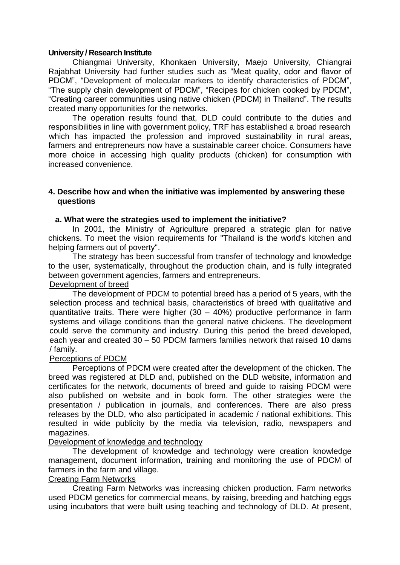### **University / Research Institute**

Chiangmai University, Khonkaen University, Maejo University, Chiangrai Rajabhat University had further studies such as "Meat quality, odor and flavor of PDCM", "Development of molecular markers to identify characteristics of PDCM", "The supply chain development of PDCM", "Recipes for chicken cooked by PDCM", "Creating career communities using native chicken (PDCM) in Thailand". The results created many opportunities for the networks.

The operation results found that, DLD could contribute to the duties and responsibilities in line with government policy, TRF has established a broad research which has impacted the profession and improved sustainability in rural areas, farmers and entrepreneurs now have a sustainable career choice. Consumers have more choice in accessing high quality products (chicken) for consumption with increased convenience.

### **4. Describe how and when the initiative was implemented by answering these questions**

# **a. What were the strategies used to implement the initiative?**

In 2001, the Ministry of Agriculture prepared a strategic plan for native chickens. To meet the vision requirements for "Thailand is the world's kitchen and helping farmers out of poverty".

The strategy has been successful from transfer of technology and knowledge to the user, systematically, throughout the production chain, and is fully integrated between government agencies, farmers and entrepreneurs.

#### Development of breed

The development of PDCM to potential breed has a period of 5 years, with the selection process and technical basis, characteristics of breed with qualitative and quantitative traits. There were higher (30 – 40%) productive performance in farm systems and village conditions than the general native chickens. The development could serve the community and industry. During this period the breed developed, each year and created 30 – 50 PDCM farmers families network that raised 10 dams / family.

# Perceptions of PDCM

Perceptions of PDCM were created after the development of the chicken. The breed was registered at DLD and, published on the DLD website, information and certificates for the network, documents of breed and guide to raising PDCM were also published on website and in book form. The other strategies were the presentation / publication in journals, and conferences. There are also press releases by the DLD, who also participated in academic / national exhibitions. This resulted in wide publicity by the media via television, radio, newspapers and magazines.

# Development of knowledge and technology

The development of knowledge and technology were creation knowledge management, document information, training and monitoring the use of PDCM of farmers in the farm and village.

# Creating Farm Networks

Creating Farm Networks was increasing chicken production. Farm networks used PDCM genetics for commercial means, by raising, breeding and hatching eggs using incubators that were built using teaching and technology of DLD. At present,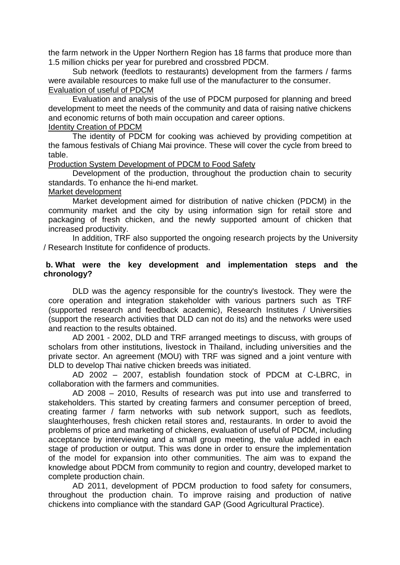the farm network in the Upper Northern Region has 18 farms that produce more than 1.5 million chicks per year for purebred and crossbred PDCM.

Sub network (feedlots to restaurants) development from the farmers / farms were available resources to make full use of the manufacturer to the consumer. Evaluation of useful of PDCM

Evaluation and analysis of the use of PDCM purposed for planning and breed development to meet the needs of the community and data of raising native chickens and economic returns of both main occupation and career options. Identity Creation of PDCM

The identity of PDCM for cooking was achieved by providing competition at the famous festivals of Chiang Mai province. These will cover the cycle from breed to table.

Production System Development of PDCM to Food Safety

Development of the production, throughout the production chain to security standards. To enhance the hi-end market.

### Market development

Market development aimed for distribution of native chicken (PDCM) in the community market and the city by using information sign for retail store and packaging of fresh chicken, and the newly supported amount of chicken that increased productivity.

In addition, TRF also supported the ongoing research projects by the University / Research Institute for confidence of products.

### **b. What were the key development and implementation steps and the chronology?**

DLD was the agency responsible for the country's livestock. They were the core operation and integration stakeholder with various partners such as TRF (supported research and feedback academic), Research Institutes / Universities (support the research activities that DLD can not do its) and the networks were used and reaction to the results obtained.

AD 2001 - 2002, DLD and TRF arranged meetings to discuss, with groups of scholars from other institutions, livestock in Thailand, including universities and the private sector. An agreement (MOU) with TRF was signed and a joint venture with DLD to develop Thai native chicken breeds was initiated.

AD 2002 – 2007, establish foundation stock of PDCM at C-LBRC, in collaboration with the farmers and communities.

AD 2008 – 2010, Results of research was put into use and transferred to stakeholders. This started by creating farmers and consumer perception of breed, creating farmer / farm networks with sub network support, such as feedlots, slaughterhouses, fresh chicken retail stores and, restaurants. In order to avoid the problems of price and marketing of chickens, evaluation of useful of PDCM, including acceptance by interviewing and a small group meeting, the value added in each stage of production or output. This was done in order to ensure the implementation of the model for expansion into other communities. The aim was to expand the knowledge about PDCM from community to region and country, developed market to complete production chain.

AD 2011, development of PDCM production to food safety for consumers, throughout the production chain. To improve raising and production of native chickens into compliance with the standard GAP (Good Agricultural Practice).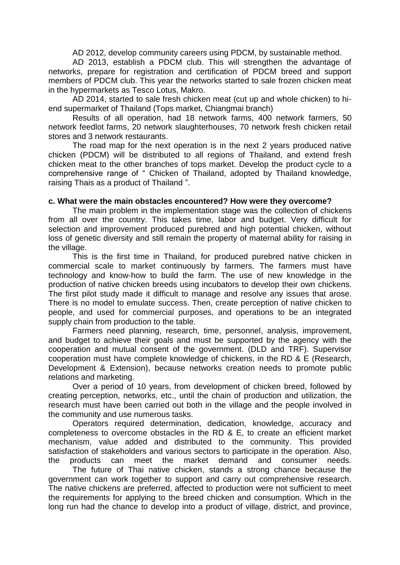AD 2012, develop community careers using PDCM, by sustainable method.

AD 2013, establish a PDCM club. This will strengthen the advantage of networks, prepare for registration and certification of PDCM breed and support members of PDCM club. This year the networks started to sale frozen chicken meat in the hypermarkets as Tesco Lotus, Makro.

AD 2014, started to sale fresh chicken meat (cut up and whole chicken) to hiend supermarket of Thailand (Tops market, Chiangmai branch)

Results of all operation, had 18 network farms, 400 network farmers, 50 network feedlot farms, 20 network slaughterhouses, 70 network fresh chicken retail stores and 3 network restaurants.

The road map for the next operation is in the next 2 years produced native chicken (PDCM) will be distributed to all regions of Thailand, and extend fresh chicken meat to the other branches of tops market. Develop the product cycle to a comprehensive range of " Chicken of Thailand, adopted by Thailand knowledge, raising Thais as a product of Thailand ".

### **c. What were the main obstacles encountered? How were they overcome?**

The main problem in the implementation stage was the collection of chickens from all over the country. This takes time, labor and budget. Very difficult for selection and improvement produced purebred and high potential chicken, without loss of genetic diversity and still remain the property of maternal ability for raising in the village.

This is the first time in Thailand, for produced purebred native chicken in commercial scale to market continuously by farmers. The farmers must have technology and know-how to build the farm. The use of new knowledge in the production of native chicken breeds using incubators to develop their own chickens. The first pilot study made it difficult to manage and resolve any issues that arose. There is no model to emulate success. Then, create perception of native chicken to people, and used for commercial purposes, and operations to be an integrated supply chain from production to the table.

Farmers need planning, research, time, personnel, analysis, improvement, and budget to achieve their goals and must be supported by the agency with the cooperation and mutual consent of the government. (DLD and TRF). Supervisor cooperation must have complete knowledge of chickens, in the RD & E (Research, Development & Extension), because networks creation needs to promote public relations and marketing.

Over a period of 10 years, from development of chicken breed, followed by creating perception, networks, etc., until the chain of production and utilization, the research must have been carried out both in the village and the people involved in the community and use numerous tasks.

Operators required determination, dedication, knowledge, accuracy and completeness to overcome obstacles in the RD & E, to create an efficient market mechanism, value added and distributed to the community. This provided satisfaction of stakeholders and various sectors to participate in the operation. Also, the products can meet the market demand and consumer needs.

The future of Thai native chicken, stands a strong chance because the government can work together to support and carry out comprehensive research. The native chickens are preferred, affected to production were not sufficient to meet the requirements for applying to the breed chicken and consumption. Which in the long run had the chance to develop into a product of village, district, and province,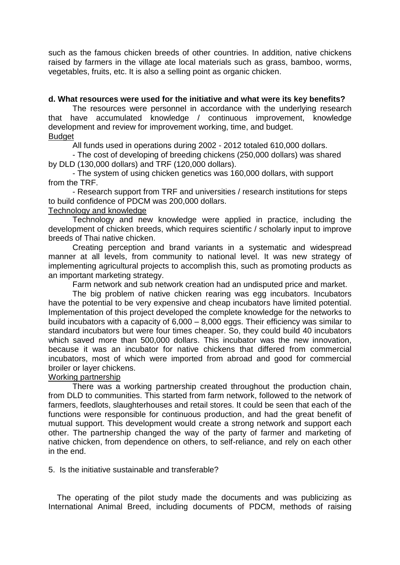such as the famous chicken breeds of other countries. In addition, native chickens raised by farmers in the village ate local materials such as grass, bamboo, worms, vegetables, fruits, etc. It is also a selling point as organic chicken.

## **d. What resources were used for the initiative and what were its key benefits?**

The resources were personnel in accordance with the underlying research that have accumulated knowledge / continuous improvement, knowledge development and review for improvement working, time, and budget. **Budget** 

All funds used in operations during 2002 - 2012 totaled 610,000 dollars.

- The cost of developing of breeding chickens (250,000 dollars) was shared by DLD (130,000 dollars) and TRF (120,000 dollars).

 - The system of using chicken genetics was 160,000 dollars, with support from the TRF.

 - Research support from TRF and universities / research institutions for steps to build confidence of PDCM was 200,000 dollars.

#### Technology and knowledge

 Technology and new knowledge were applied in practice, including the development of chicken breeds, which requires scientific / scholarly input to improve breeds of Thai native chicken.

Creating perception and brand variants in a systematic and widespread manner at all levels, from community to national level. It was new strategy of implementing agricultural projects to accomplish this, such as promoting products as an important marketing strategy.

Farm network and sub network creation had an undisputed price and market.

 The big problem of native chicken rearing was egg incubators. Incubators have the potential to be very expensive and cheap incubators have limited potential. Implementation of this project developed the complete knowledge for the networks to build incubators with a capacity of 6,000 – 8,000 eggs. Their efficiency was similar to standard incubators but were four times cheaper. So, they could build 40 incubators which saved more than 500,000 dollars. This incubator was the new innovation, because it was an incubator for native chickens that differed from commercial incubators, most of which were imported from abroad and good for commercial broiler or layer chickens.

#### Working partnership

 There was a working partnership created throughout the production chain, from DLD to communities. This started from farm network, followed to the network of farmers, feedlots, slaughterhouses and retail stores. It could be seen that each of the functions were responsible for continuous production, and had the great benefit of mutual support. This development would create a strong network and support each other. The partnership changed the way of the party of farmer and marketing of native chicken, from dependence on others, to self-reliance, and rely on each other in the end.

5. Is the initiative sustainable and transferable?

The operating of the pilot study made the documents and was publicizing as International Animal Breed, including documents of PDCM, methods of raising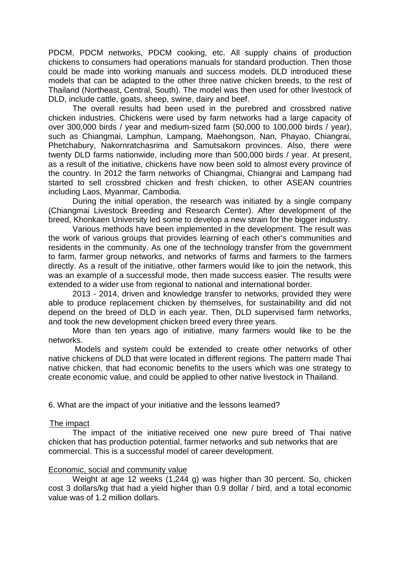PDCM, PDCM networks, PDCM cooking, etc. All supply chains of production chickens to consumers had operations manuals for standard production. Then those could be made into working manuals and success models. DLD introduced these models that can be adapted to the other three native chicken breeds, to the rest of Thailand (Northeast, Central, South). The model was then used for other livestock of DLD, include cattle, goats, sheep, swine, dairy and beef.

The overall results had been used in the purebred and crossbred native chicken industries. Chickens were used by farm networks had a large capacity of over 300,000 birds / year and medium-sized farm (50,000 to 100,000 birds / year), such as Chiangmai, Lamphun, Lampang, Maehongson, Nan, Phayao, Chiangrai, Phetchabury, Nakornratchasrima and Samutsakorn provinces. Also, there were twenty DLD farms nationwide, including more than 500,000 birds / year. At present, as a result of the initiative, chickens have now been sold to almost every province of the country. In 2012 the farm networks of Chiangmai, Chiangrai and Lampang had started to sell crossbred chicken and fresh chicken, to other ASEAN countries including Laos, Myanmar, Cambodia.

During the initial operation, the research was initiated by a single company (Chiangmai Livestock Breeding and Research Center). After development of the breed, Khonkaen University led some to develop a new strain for the bigger industry.

Various methods have been implemented in the development. The result was the work of various groups that provides learning of each other's communities and residents in the community. As one of the technology transfer from the government to farm, farmer group networks, and networks of farms and farmers to the farmers directly. As a result of the initiative, other farmers would like to join the network, this was an example of a successful mode, then made success easier. The results were extended to a wider use from regional to national and international border.

2013 - 2014, driven and knowledge transfer to networks, provided they were able to produce replacement chicken by themselves, for sustainability and did not depend on the breed of DLD in each year. Then, DLD supervised farm networks, and took the new development chicken breed every three years.

More than ten years ago of initiative, many farmers would like to be the networks.

Models and system could be extended to create other networks of other native chickens of DLD that were located in different regions. The pattern made Thai native chicken, that had economic benefits to the users which was one strategy to create economic value, and could be applied to other native livestock in Thailand.

6. What are the impact of your initiative and the lessons learned?

# The impact

The impact of the initiative received one new pure breed of Thai native chicken that has production potential, farmer networks and sub networks that are commercial. This is a successful model of career development.

#### Economic, social and community value

Weight at age 12 weeks (1,244 g) was higher than 30 percent. So, chicken cost 3 dollars/kg that had a yield higher than 0.9 dollar / bird, and a total economic value was of 1.2 million dollars.